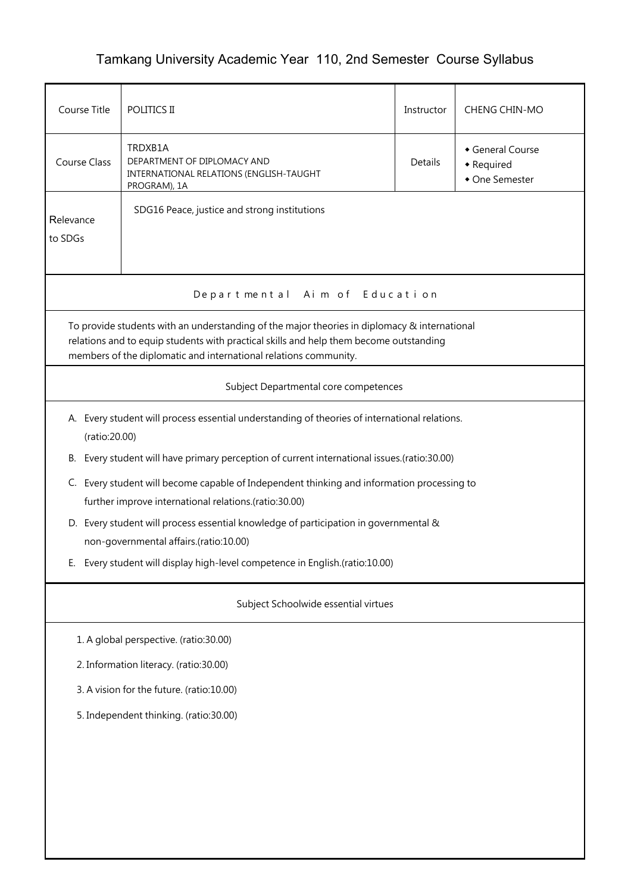## Tamkang University Academic Year 110, 2nd Semester Course Syllabus

| Course Title                                                                                                                                                                                                                                               | POLITICS II                                                                                                                                      | Instructor | CHENG CHIN-MO                                  |  |  |  |
|------------------------------------------------------------------------------------------------------------------------------------------------------------------------------------------------------------------------------------------------------------|--------------------------------------------------------------------------------------------------------------------------------------------------|------------|------------------------------------------------|--|--|--|
| <b>Course Class</b>                                                                                                                                                                                                                                        | TRDXB1A<br>DEPARTMENT OF DIPLOMACY AND<br>INTERNATIONAL RELATIONS (ENGLISH-TAUGHT<br>PROGRAM), 1A                                                | Details    | General Course<br>• Required<br>• One Semester |  |  |  |
| SDG16 Peace, justice and strong institutions<br>Relevance<br>to SDGs                                                                                                                                                                                       |                                                                                                                                                  |            |                                                |  |  |  |
| Departmental Aim of Education                                                                                                                                                                                                                              |                                                                                                                                                  |            |                                                |  |  |  |
| To provide students with an understanding of the major theories in diplomacy & international<br>relations and to equip students with practical skills and help them become outstanding<br>members of the diplomatic and international relations community. |                                                                                                                                                  |            |                                                |  |  |  |
|                                                                                                                                                                                                                                                            | Subject Departmental core competences                                                                                                            |            |                                                |  |  |  |
|                                                                                                                                                                                                                                                            | A. Every student will process essential understanding of theories of international relations.<br>(ratio:20.00)                                   |            |                                                |  |  |  |
| В.                                                                                                                                                                                                                                                         | Every student will have primary perception of current international issues.(ratio:30.00)                                                         |            |                                                |  |  |  |
| C.                                                                                                                                                                                                                                                         | Every student will become capable of Independent thinking and information processing to<br>further improve international relations.(ratio:30.00) |            |                                                |  |  |  |
|                                                                                                                                                                                                                                                            | D. Every student will process essential knowledge of participation in governmental &<br>non-governmental affairs.(ratio:10.00)                   |            |                                                |  |  |  |
| Е.                                                                                                                                                                                                                                                         | Every student will display high-level competence in English.(ratio:10.00)                                                                        |            |                                                |  |  |  |
| Subject Schoolwide essential virtues                                                                                                                                                                                                                       |                                                                                                                                                  |            |                                                |  |  |  |
| 1. A global perspective. (ratio:30.00)                                                                                                                                                                                                                     |                                                                                                                                                  |            |                                                |  |  |  |
| 2. Information literacy. (ratio:30.00)                                                                                                                                                                                                                     |                                                                                                                                                  |            |                                                |  |  |  |
| 3. A vision for the future. (ratio:10.00)                                                                                                                                                                                                                  |                                                                                                                                                  |            |                                                |  |  |  |
| 5. Independent thinking. (ratio:30.00)                                                                                                                                                                                                                     |                                                                                                                                                  |            |                                                |  |  |  |
|                                                                                                                                                                                                                                                            |                                                                                                                                                  |            |                                                |  |  |  |
|                                                                                                                                                                                                                                                            |                                                                                                                                                  |            |                                                |  |  |  |
|                                                                                                                                                                                                                                                            |                                                                                                                                                  |            |                                                |  |  |  |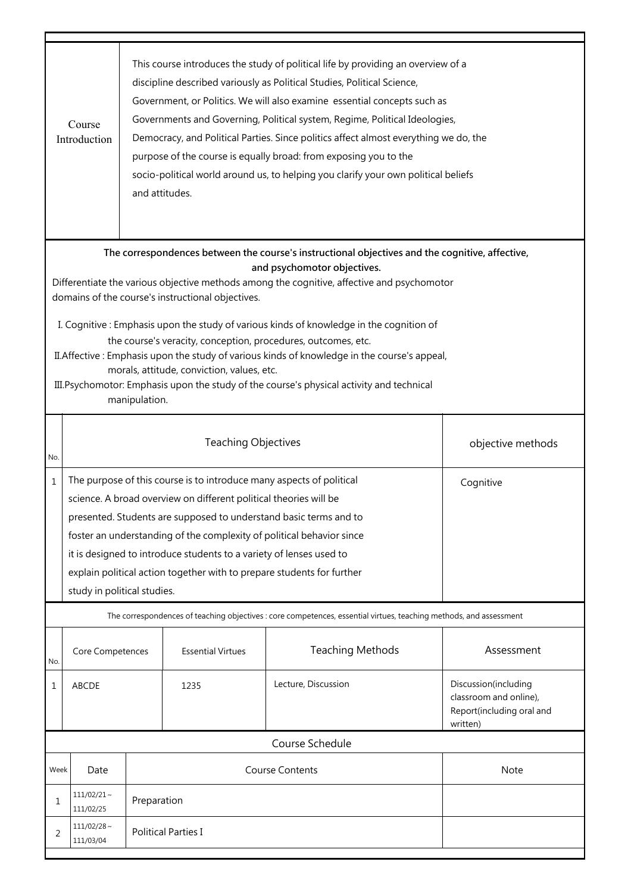|                                                                                                                                                                                                                                                                                                                                                                                                                                                                                                                                                                                                                                                                                                           | This course introduces the study of political life by providing an overview of a<br>discipline described variously as Political Studies, Political Science,<br>Government, or Politics. We will also examine essential concepts such as<br>Governments and Governing, Political system, Regime, Political Ideologies,<br>Course<br>Democracy, and Political Parties. Since politics affect almost everything we do, the<br>Introduction<br>purpose of the course is equally broad: from exposing you to the<br>socio-political world around us, to helping you clarify your own political beliefs<br>and attitudes. |  |                          |                                                                                                                    |                                                                                         |  |
|-----------------------------------------------------------------------------------------------------------------------------------------------------------------------------------------------------------------------------------------------------------------------------------------------------------------------------------------------------------------------------------------------------------------------------------------------------------------------------------------------------------------------------------------------------------------------------------------------------------------------------------------------------------------------------------------------------------|---------------------------------------------------------------------------------------------------------------------------------------------------------------------------------------------------------------------------------------------------------------------------------------------------------------------------------------------------------------------------------------------------------------------------------------------------------------------------------------------------------------------------------------------------------------------------------------------------------------------|--|--------------------------|--------------------------------------------------------------------------------------------------------------------|-----------------------------------------------------------------------------------------|--|
| The correspondences between the course's instructional objectives and the cognitive, affective,<br>and psychomotor objectives.<br>Differentiate the various objective methods among the cognitive, affective and psychomotor<br>domains of the course's instructional objectives.<br>I. Cognitive: Emphasis upon the study of various kinds of knowledge in the cognition of<br>the course's veracity, conception, procedures, outcomes, etc.<br>II. Affective: Emphasis upon the study of various kinds of knowledge in the course's appeal,<br>morals, attitude, conviction, values, etc.<br>III. Psychomotor: Emphasis upon the study of the course's physical activity and technical<br>manipulation. |                                                                                                                                                                                                                                                                                                                                                                                                                                                                                                                                                                                                                     |  |                          |                                                                                                                    |                                                                                         |  |
| No.                                                                                                                                                                                                                                                                                                                                                                                                                                                                                                                                                                                                                                                                                                       | <b>Teaching Objectives</b><br>objective methods                                                                                                                                                                                                                                                                                                                                                                                                                                                                                                                                                                     |  |                          |                                                                                                                    |                                                                                         |  |
| 1                                                                                                                                                                                                                                                                                                                                                                                                                                                                                                                                                                                                                                                                                                         | The purpose of this course is to introduce many aspects of political<br>Cognitive<br>science. A broad overview on different political theories will be<br>presented. Students are supposed to understand basic terms and to<br>foster an understanding of the complexity of political behavior since<br>it is designed to introduce students to a variety of lenses used to<br>explain political action together with to prepare students for further<br>study in political studies.                                                                                                                                |  |                          |                                                                                                                    |                                                                                         |  |
|                                                                                                                                                                                                                                                                                                                                                                                                                                                                                                                                                                                                                                                                                                           |                                                                                                                                                                                                                                                                                                                                                                                                                                                                                                                                                                                                                     |  |                          | The correspondences of teaching objectives : core competences, essential virtues, teaching methods, and assessment |                                                                                         |  |
| No.                                                                                                                                                                                                                                                                                                                                                                                                                                                                                                                                                                                                                                                                                                       | Core Competences                                                                                                                                                                                                                                                                                                                                                                                                                                                                                                                                                                                                    |  | <b>Essential Virtues</b> | <b>Teaching Methods</b>                                                                                            | Assessment                                                                              |  |
| 1                                                                                                                                                                                                                                                                                                                                                                                                                                                                                                                                                                                                                                                                                                         | ABCDE                                                                                                                                                                                                                                                                                                                                                                                                                                                                                                                                                                                                               |  | 1235                     | Lecture, Discussion                                                                                                | Discussion(including<br>classroom and online),<br>Report(including oral and<br>written) |  |
|                                                                                                                                                                                                                                                                                                                                                                                                                                                                                                                                                                                                                                                                                                           |                                                                                                                                                                                                                                                                                                                                                                                                                                                                                                                                                                                                                     |  |                          | Course Schedule                                                                                                    |                                                                                         |  |
| Week                                                                                                                                                                                                                                                                                                                                                                                                                                                                                                                                                                                                                                                                                                      | Date                                                                                                                                                                                                                                                                                                                                                                                                                                                                                                                                                                                                                |  |                          | <b>Course Contents</b>                                                                                             | Note                                                                                    |  |
| 1                                                                                                                                                                                                                                                                                                                                                                                                                                                                                                                                                                                                                                                                                                         | $111/02/21$ ~<br>Preparation<br>111/02/25                                                                                                                                                                                                                                                                                                                                                                                                                                                                                                                                                                           |  |                          |                                                                                                                    |                                                                                         |  |
| 2                                                                                                                                                                                                                                                                                                                                                                                                                                                                                                                                                                                                                                                                                                         | $111/02/28$ ~<br><b>Political Parties I</b><br>111/03/04                                                                                                                                                                                                                                                                                                                                                                                                                                                                                                                                                            |  |                          |                                                                                                                    |                                                                                         |  |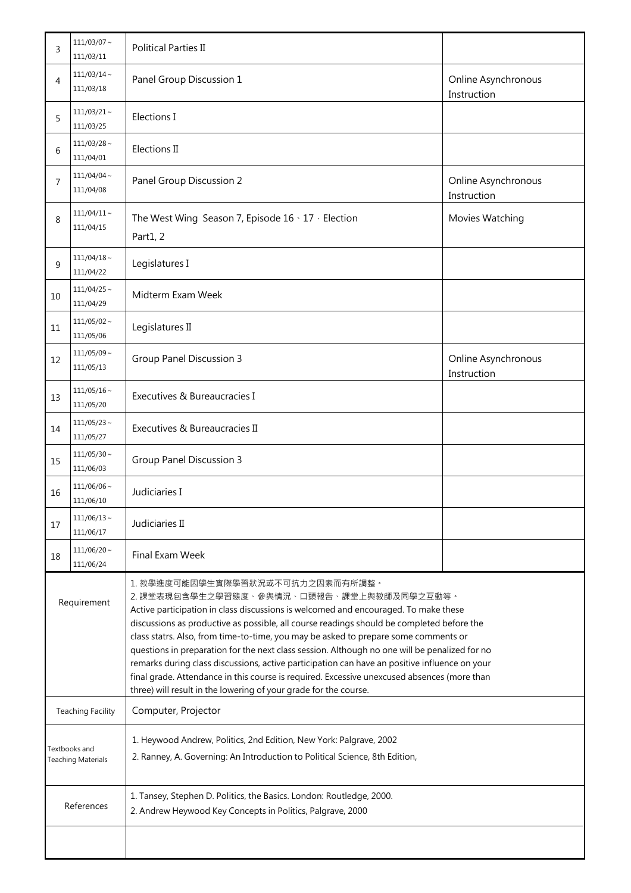| 3                                          | $111/03/07$ ~<br>111/03/11    | <b>Political Parties II</b>                                                                                                                                                                                                                                                                                                                                                                                                                                                                                                                                                                                                                                                                                                   |                                    |  |
|--------------------------------------------|-------------------------------|-------------------------------------------------------------------------------------------------------------------------------------------------------------------------------------------------------------------------------------------------------------------------------------------------------------------------------------------------------------------------------------------------------------------------------------------------------------------------------------------------------------------------------------------------------------------------------------------------------------------------------------------------------------------------------------------------------------------------------|------------------------------------|--|
| 4                                          | $111/03/14$ ~<br>111/03/18    | Panel Group Discussion 1                                                                                                                                                                                                                                                                                                                                                                                                                                                                                                                                                                                                                                                                                                      | Online Asynchronous<br>Instruction |  |
| 5                                          | $111/03/21$ ~<br>111/03/25    | Elections I                                                                                                                                                                                                                                                                                                                                                                                                                                                                                                                                                                                                                                                                                                                   |                                    |  |
| 6                                          | $111/03/28$ ~<br>111/04/01    | Elections II                                                                                                                                                                                                                                                                                                                                                                                                                                                                                                                                                                                                                                                                                                                  |                                    |  |
| 7                                          | $111/04/04 \sim$<br>111/04/08 | Panel Group Discussion 2                                                                                                                                                                                                                                                                                                                                                                                                                                                                                                                                                                                                                                                                                                      | Online Asynchronous<br>Instruction |  |
| 8                                          | $111/04/11 \sim$<br>111/04/15 | The West Wing Season 7, Episode 16 \ 17 \ Election<br>Part1, 2                                                                                                                                                                                                                                                                                                                                                                                                                                                                                                                                                                                                                                                                | Movies Watching                    |  |
| 9                                          | $111/04/18 \sim$<br>111/04/22 | Legislatures I                                                                                                                                                                                                                                                                                                                                                                                                                                                                                                                                                                                                                                                                                                                |                                    |  |
| 10                                         | $111/04/25$ ~<br>111/04/29    | Midterm Exam Week                                                                                                                                                                                                                                                                                                                                                                                                                                                                                                                                                                                                                                                                                                             |                                    |  |
| 11                                         | $111/05/02$ ~<br>111/05/06    | Legislatures II                                                                                                                                                                                                                                                                                                                                                                                                                                                                                                                                                                                                                                                                                                               |                                    |  |
| 12                                         | $111/05/09$ ~<br>111/05/13    | <b>Group Panel Discussion 3</b>                                                                                                                                                                                                                                                                                                                                                                                                                                                                                                                                                                                                                                                                                               | Online Asynchronous<br>Instruction |  |
| 13                                         | $111/05/16$ ~<br>111/05/20    | Executives & Bureaucracies I                                                                                                                                                                                                                                                                                                                                                                                                                                                                                                                                                                                                                                                                                                  |                                    |  |
| 14                                         | $111/05/23 \sim$<br>111/05/27 | Executives & Bureaucracies II                                                                                                                                                                                                                                                                                                                                                                                                                                                                                                                                                                                                                                                                                                 |                                    |  |
| 15                                         | $111/05/30$ ~<br>111/06/03    | <b>Group Panel Discussion 3</b>                                                                                                                                                                                                                                                                                                                                                                                                                                                                                                                                                                                                                                                                                               |                                    |  |
| 16                                         | $111/06/06$ ~<br>111/06/10    | Judiciaries I                                                                                                                                                                                                                                                                                                                                                                                                                                                                                                                                                                                                                                                                                                                 |                                    |  |
| 17                                         | $111/06/13$ ~<br>111/06/17    | Judiciaries II                                                                                                                                                                                                                                                                                                                                                                                                                                                                                                                                                                                                                                                                                                                |                                    |  |
| 18                                         | $111/06/20$ ~<br>111/06/24    | Final Exam Week                                                                                                                                                                                                                                                                                                                                                                                                                                                                                                                                                                                                                                                                                                               |                                    |  |
| Requirement                                |                               | 1. 教學進度可能因學生實際學習狀況或不可抗力之因素而有所調整。<br>2. 課堂表現包含學生之學習態度、參與情況、口頭報告、課堂上與教師及同學之互動等。<br>Active participation in class discussions is welcomed and encouraged. To make these<br>discussions as productive as possible, all course readings should be completed before the<br>class statrs. Also, from time-to-time, you may be asked to prepare some comments or<br>questions in preparation for the next class session. Although no one will be penalized for no<br>remarks during class discussions, active participation can have an positive influence on your<br>final grade. Attendance in this course is required. Excessive unexcused absences (more than<br>three) will result in the lowering of your grade for the course. |                                    |  |
| <b>Teaching Facility</b>                   |                               | Computer, Projector                                                                                                                                                                                                                                                                                                                                                                                                                                                                                                                                                                                                                                                                                                           |                                    |  |
| Textbooks and<br><b>Teaching Materials</b> |                               | 1. Heywood Andrew, Politics, 2nd Edition, New York: Palgrave, 2002<br>2. Ranney, A. Governing: An Introduction to Political Science, 8th Edition,                                                                                                                                                                                                                                                                                                                                                                                                                                                                                                                                                                             |                                    |  |
| References                                 |                               | 1. Tansey, Stephen D. Politics, the Basics. London: Routledge, 2000.<br>2. Andrew Heywood Key Concepts in Politics, Palgrave, 2000                                                                                                                                                                                                                                                                                                                                                                                                                                                                                                                                                                                            |                                    |  |
|                                            |                               |                                                                                                                                                                                                                                                                                                                                                                                                                                                                                                                                                                                                                                                                                                                               |                                    |  |